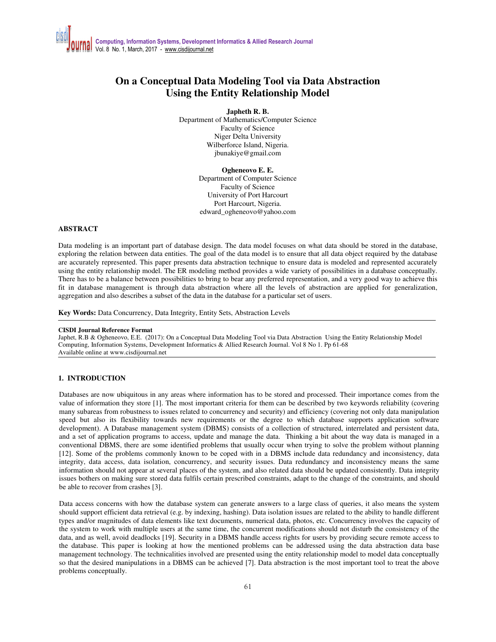# **On a Conceptual Data Modeling Tool via Data Abstraction Using the Entity Relationship Model**

#### **Japheth R. B.**

Department of Mathematics/Computer Science Faculty of Science Niger Delta University Wilberforce Island, Nigeria. jbunakiye@gmail.com

> **Ogheneovo E. E.** Department of Computer Science Faculty of Science University of Port Harcourt Port Harcourt, Nigeria. edward\_ogheneovo@yahoo.com

#### **ABSTRACT**

Data modeling is an important part of database design. The data model focuses on what data should be stored in the database, exploring the relation between data entities. The goal of the data model is to ensure that all data object required by the database are accurately represented. This paper presents data abstraction technique to ensure data is modeled and represented accurately using the entity relationship model. The ER modeling method provides a wide variety of possibilities in a database conceptually. There has to be a balance between possibilities to bring to bear any preferred representation, and a very good way to achieve this fit in database management is through data abstraction where all the levels of abstraction are applied for generalization, aggregation and also describes a subset of the data in the database for a particular set of users.

**Key Words:** Data Concurrency, Data Integrity, Entity Sets, Abstraction Levels

#### **CISDI Journal Reference Format**

Japhet, R.B & Ogheneovo, E.E. (2017): On a Conceptual Data Modeling Tool via Data Abstraction Using the Entity Relationship Model Computing, Information Systems, Development Informatics & Allied Research Journal. Vol 8 No 1. Pp 61-68 Available online at www.cisdijournal.net

# **1. INTRODUCTION**

Databases are now ubiquitous in any areas where information has to be stored and processed. Their importance comes from the value of information they store [1]. The most important criteria for them can be described by two keywords reliability (covering many subareas from robustness to issues related to concurrency and security) and efficiency (covering not only data manipulation speed but also its flexibility towards new requirements or the degree to which database supports application software development). A Database management system (DBMS) consists of a collection of structured, interrelated and persistent data, and a set of application programs to access, update and manage the data. Thinking a bit about the way data is managed in a conventional DBMS, there are some identified problems that usually occur when trying to solve the problem without planning [12]. Some of the problems commonly known to be coped with in a DBMS include data redundancy and inconsistency, data integrity, data access, data isolation, concurrency, and security issues. Data redundancy and inconsistency means the same information should not appear at several places of the system, and also related data should be updated consistently. Data integrity issues bothers on making sure stored data fulfils certain prescribed constraints, adapt to the change of the constraints, and should be able to recover from crashes [3].

Data access concerns with how the database system can generate answers to a large class of queries, it also means the system should support efficient data retrieval (e.g. by indexing, hashing). Data isolation issues are related to the ability to handle different types and/or magnitudes of data elements like text documents, numerical data, photos, etc. Concurrency involves the capacity of the system to work with multiple users at the same time, the concurrent modifications should not disturb the consistency of the data, and as well, avoid deadlocks [19]. Security in a DBMS handle access rights for users by providing secure remote access to the database. This paper is looking at how the mentioned problems can be addressed using the data abstraction data base management technology. The technicalities involved are presented using the entity relationship model to model data conceptually so that the desired manipulations in a DBMS can be achieved [7]. Data abstraction is the most important tool to treat the above problems conceptually.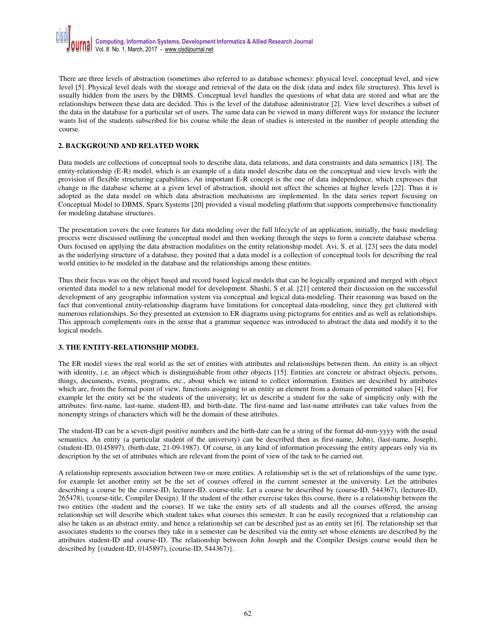There are three levels of abstraction (sometimes also referred to as database schemes): physical level, conceptual level, and view level [5]. Physical level deals with the storage and retrieval of the data on the disk (data and index file structures). This level is usually hidden from the users by the DBMS. Conceptual level handles the questions of what data are stored and what are the relationships between these data are decided. This is the level of the database administrator [2]. View level describes a subset of the data in the database for a particular set of users. The same data can be viewed in many different ways for instance the lecturer wants list of the students subscribed for his course while the dean of studies is interested in the number of people attending the course.

# **2. BACKGROUND AND RELATED WORK**

Data models are collections of conceptual tools to describe data, data relations, and data constraints and data semantics [18]. The entity-relationship (E-R) model, which is an example of a data model describe data on the conceptual and view levels with the provision of flexible structuring capabilities. An important E-R concept is the one of data independence, which expresses that change in the database scheme at a given level of abstraction, should not affect the schemes at higher levels [22]. Thus it is adopted as the data model on which data abstraction mechanisms are implemented. In the data series report focusing on Conceptual Model to DBMS, Sparx Systems [20] provided a visual modeling platform that supports comprehensive functionality for modeling database structures.

The presentation covers the core features for data modeling over the full lifecycle of an application, initially, the basic modeling process were discussed outlining the conceptual model and then working through the steps to form a concrete database schema. Ours focused on applying the data abstraction modalities on the entity relationship model. Avi, S. et al. [23] sees the data model as the underlying structure of a database, they posited that a data model is a collection of conceptual tools for describing the real world entities to be modeled in the database and the relationships among these entities.

Thus their focus was on the object based and record based logical models that can be logically organized and merged with object oriented data model to a new relational model for development. Shashi, S et al. [21] centered their discussion on the successful development of any geographic information system via conceptual and logical data-modeling. Their reasoning was based on the fact that conventional entity-relationship diagrams have limitations for conceptual data-modeling, since they get cluttered with numerous relationships. So they presented an extension to ER diagrams using pictograms for entities and as well as relationships. This approach complements ours in the sense that a grammar sequence was introduced to abstract the data and modify it to the logical models.

# **3. THE ENTITY-RELATIONSHIP MODEL**

The ER model views the real world as the set of entities with attributes and relationships between them. An entity is an object with identity, i.e. an object which is distinguishable from other objects [15]. Entities are concrete or abstract objects, persons, things, documents, events, programs, etc., about which we intend to collect information. Entities are described by attributes which are, from the formal point of view, functions assigning to an entity an element from a domain of permitted values [4]. For example let the entity set be the students of the university; let us describe a student for the sake of simplicity only with the attributes: first-name, last-name, student-ID, and birth-date. The first-name and last-name attributes can take values from the nonempty strings of characters which will be the domain of these attributes.

The student-ID can be a seven-digit positive numbers and the birth-date can be a string of the format dd-mm-yyyy with the usual semantics. An entity (a particular student of the university) can be described then as first-name, John), (last-name, Joseph), (student-ID, 0145897), (birth-date, 21-09-1987). Of course, in any kind of information processing the entity appears only via its description by the set of attributes which are relevant from the point of view of the task to be carried out.

A relationship represents association between two or more entities. A relationship set is the set of relationships of the same type, for example let another entity set be the set of courses offered in the current semester at the university. Let the attributes describing a course be the course-ID, lecturer-ID, course-title. Let a course be described by (course-ID, 544367), (lecturer-ID, 265478), (course-title, Compiler Design). If the student of the other exercise takes this course, there is a relationship between the two entities (the student and the course). If we take the entity sets of all students and all the courses offered, the arising relationship set will describe which student takes what courses this semester. It can be easily recognized that a relationship can also be taken as an abstract entity, and hence a relationship set can be described just as an entity set [6]. The relationship set that associates students to the courses they take in a semester can be described via the entity set whose elements are described by the attributes student-ID and course-ID. The relationship between John Joseph and the Compiler Design course would then be described by {(student-ID, 0145897), (course-ID, 544367)}.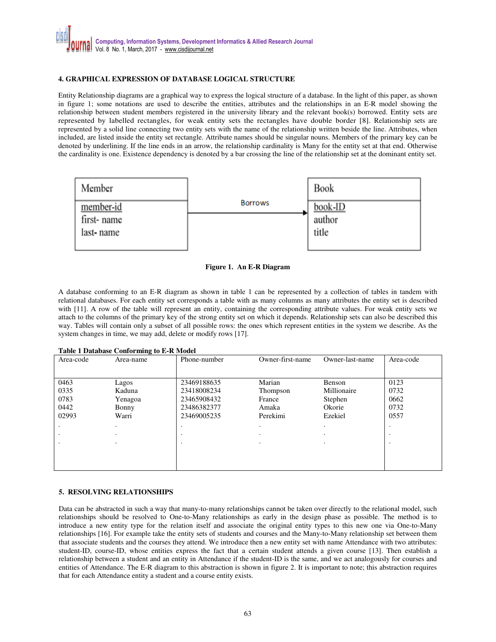# **4. GRAPHICAL EXPRESSION OF DATABASE LOGICAL STRUCTURE**

Entity Relationship diagrams are a graphical way to express the logical structure of a database. In the light of this paper, as shown in figure 1; some notations are used to describe the entities, attributes and the relationships in an E-R model showing the relationship between student members registered in the university library and the relevant book(s) borrowed. Entity sets are represented by labelled rectangles, for weak entity sets the rectangles have double border [8]. Relationship sets are represented by a solid line connecting two entity sets with the name of the relationship written beside the line. Attributes, when included, are listed inside the entity set rectangle. Attribute names should be singular nouns. Members of the primary key can be denoted by underlining. If the line ends in an arrow, the relationship cardinality is Many for the entity set at that end. Otherwise the cardinality is one. Existence dependency is denoted by a bar crossing the line of the relationship set at the dominant entity set.



**Figure 1. An E-R Diagram** 

A database conforming to an E-R diagram as shown in table 1 can be represented by a collection of tables in tandem with relational databases. For each entity set corresponds a table with as many columns as many attributes the entity set is described with [11]. A row of the table will represent an entity, containing the corresponding attribute values. For weak entity sets we attach to the columns of the primary key of the strong entity set on which it depends. Relationship sets can also be described this way. Tables will contain only a subset of all possible rows: the ones which represent entities in the system we describe. As the system changes in time, we may add, delete or modify rows [17].

| <b>Table 1 Database Conforming to E-R Model</b> |  |  |
|-------------------------------------------------|--|--|
|-------------------------------------------------|--|--|

| Area-code | Area-name | Phone-number | Owner-first-name | Owner-last-name | Area-code |
|-----------|-----------|--------------|------------------|-----------------|-----------|
|           |           |              |                  |                 |           |
|           |           |              |                  |                 |           |
| 0463      | Lagos     | 23469188635  | Marian           | Benson          | 0123      |
| 0335      | Kaduna    | 23418008234  | Thompson         | Millionaire     | 0732      |
| 0783      | Yenagoa   | 23465908432  | France           | Stephen         | 0662      |
| 0442      | Bonny     | 23486382377  | Amaka            | Okorie          | 0732      |
| 02993     | Warri     | 23469005235  | Perekimi         | Ezekiel         | 0557      |
|           |           |              |                  |                 |           |
|           |           |              | $\bullet$        |                 |           |
|           | ٠         |              | $\cdot$          |                 |           |
|           |           |              |                  |                 |           |
|           |           |              |                  |                 |           |
|           |           |              |                  |                 |           |

# **5. RESOLVING RELATIONSHIPS**

Data can be abstracted in such a way that many-to-many relationships cannot be taken over directly to the relational model, such relationships should be resolved to One-to-Many relationships as early in the design phase as possible. The method is to introduce a new entity type for the relation itself and associate the original entity types to this new one via One-to-Many relationships [16]. For example take the entity sets of students and courses and the Many-to-Many relationship set between them that associate students and the courses they attend. We introduce then a new entity set with name Attendance with two attributes: student-ID, course-ID, whose entities express the fact that a certain student attends a given course [13]. Then establish a relationship between a student and an entity in Attendance if the student-ID is the same, and we act analogously for courses and entities of Attendance. The E-R diagram to this abstraction is shown in figure 2. It is important to note; this abstraction requires that for each Attendance entity a student and a course entity exists.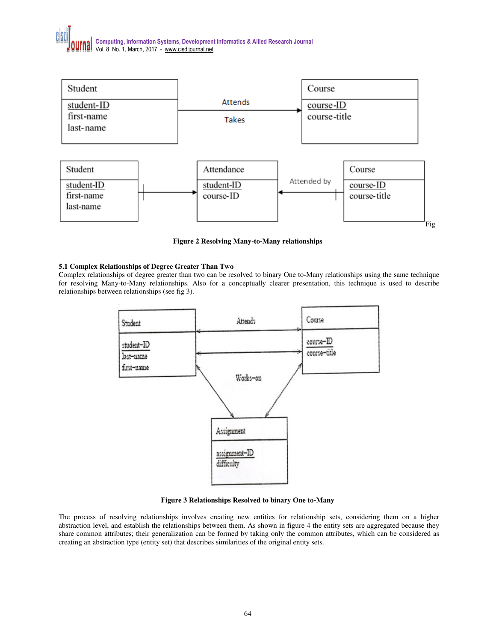# **Computing, Information Systems, Development Informatics & Allied Research Journal**  Vol. 8 No. 1, March, 2017 - www.cisdijournal.net



**Figure 2 Resolving Many-to-Many relationships** 

# **5.1 Complex Relationships of Degree Greater Than Two**

Complex relationships of degree greater than two can be resolved to binary One to-Many relationships using the same technique for resolving Many-to-Many relationships. Also for a conceptually clearer presentation, this technique is used to describe relationships between relationships (see fig 3).



**Figure 3 Relationships Resolved to binary One to-Many** 

The process of resolving relationships involves creating new entities for relationship sets, considering them on a higher abstraction level, and establish the relationships between them. As shown in figure 4 the entity sets are aggregated because they share common attributes; their generalization can be formed by taking only the common attributes, which can be considered as creating an abstraction type (entity set) that describes similarities of the original entity sets.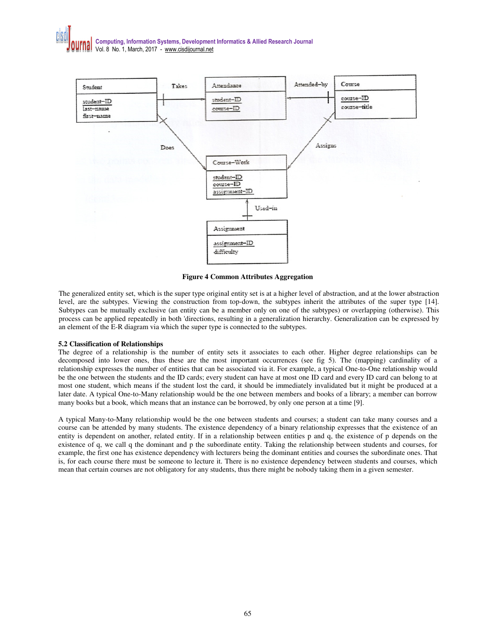

**Figure 4 Common Attributes Aggregation** 

The generalized entity set, which is the super type original entity set is at a higher level of abstraction, and at the lower abstraction level, are the subtypes. Viewing the construction from top-down, the subtypes inherit the attributes of the super type [14]. Subtypes can be mutually exclusive (an entity can be a member only on one of the subtypes) or overlapping (otherwise). This process can be applied repeatedly in both 'directions, resulting in a generalization hierarchy. Generalization can be expressed by an element of the E-R diagram via which the super type is connected to the subtypes.

#### **5.2 Classification of Relationships**

The degree of a relationship is the number of entity sets it associates to each other. Higher degree relationships can be decomposed into lower ones, thus these are the most important occurrences (see fig 5). The (mapping) cardinality of a relationship expresses the number of entities that can be associated via it. For example, a typical One-to-One relationship would be the one between the students and the ID cards; every student can have at most one ID card and every ID card can belong to at most one student, which means if the student lost the card, it should be immediately invalidated but it might be produced at a later date. A typical One-to-Many relationship would be the one between members and books of a library; a member can borrow many books but a book, which means that an instance can be borrowed, by only one person at a time [9].

A typical Many-to-Many relationship would be the one between students and courses; a student can take many courses and a course can be attended by many students. The existence dependency of a binary relationship expresses that the existence of an entity is dependent on another, related entity. If in a relationship between entities p and q, the existence of p depends on the existence of q, we call q the dominant and p the subordinate entity. Taking the relationship between students and courses, for example, the first one has existence dependency with lecturers being the dominant entities and courses the subordinate ones. That is, for each course there must be someone to lecture it. There is no existence dependency between students and courses, which mean that certain courses are not obligatory for any students, thus there might be nobody taking them in a given semester.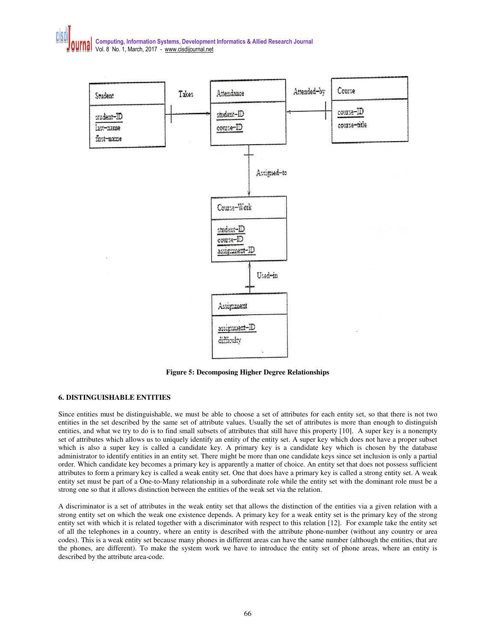

**Figure 5: Decomposing Higher Degree Relationships**

# **6. DISTINGUISHABLE ENTITIES**

Since entities must be distinguishable, we must be able to choose a set of attributes for each entity set, so that there is not two entities in the set described by the same set of attribute values. Usually the set of attributes is more than enough to distinguish entities, and what we try to do is to find small subsets of attributes that still have this property [10]. A super key is a nonempty set of attributes which allows us to uniquely identify an entity of the entity set. A super key which does not have a proper subset which is also a super key is called a candidate key. A primary key is a candidate key which is chosen by the database administrator to identify entities in an entity set. There might be more than one candidate keys since set inclusion is only a partial order. Which candidate key becomes a primary key is apparently a matter of choice. An entity set that does not possess sufficient attributes to form a primary key is called a weak entity set. One that does have a primary key is called a strong entity set. A weak entity set must be part of a One-to-Many relationship in a subordinate role while the entity set with the dominant role must be a strong one so that it allows distinction between the entities of the weak set via the relation.

A discriminator is a set of attributes in the weak entity set that allows the distinction of the entities via a given relation with a strong entity set on which the weak one existence depends. A primary key for a weak entity set is the primary key of the strong entity set with which it is related together with a discriminator with respect to this relation [12]. For example take the entity set of all the telephones in a country, where an entity is described with the attribute phone-number (without any country or area codes). This is a weak entity set because many phones in different areas can have the same number (although the entities, that are the phones, are different). To make the system work we have to introduce the entity set of phone areas, where an entity is described by the attribute area-code.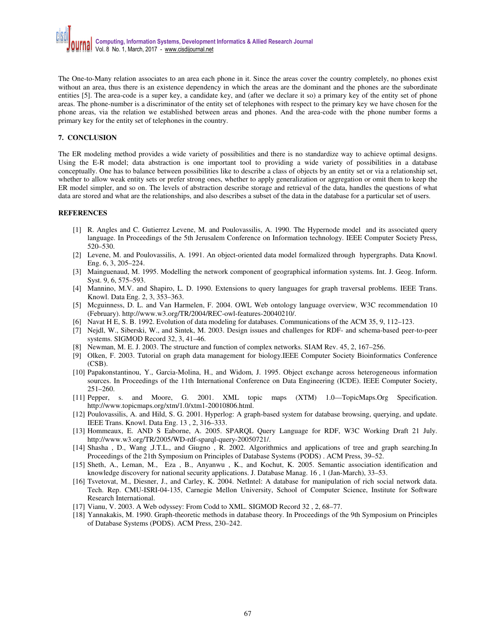The One-to-Many relation associates to an area each phone in it. Since the areas cover the country completely, no phones exist without an area, thus there is an existence dependency in which the areas are the dominant and the phones are the subordinate entities [5]. The area-code is a super key, a candidate key, and (after we declare it so) a primary key of the entity set of phone areas. The phone-number is a discriminator of the entity set of telephones with respect to the primary key we have chosen for the phone areas, via the relation we established between areas and phones. And the area-code with the phone number forms a primary key for the entity set of telephones in the country.

#### **7. CONCLUSION**

The ER modeling method provides a wide variety of possibilities and there is no standardize way to achieve optimal designs. Using the E-R model; data abstraction is one important tool to providing a wide variety of possibilities in a database conceptually. One has to balance between possibilities like to describe a class of objects by an entity set or via a relationship set, whether to allow weak entity sets or prefer strong ones, whether to apply generalization or aggregation or omit them to keep the ER model simpler, and so on. The levels of abstraction describe storage and retrieval of the data, handles the questions of what data are stored and what are the relationships, and also describes a subset of the data in the database for a particular set of users.

#### **REFERENCES**

- [1] R. Angles and C. Gutierrez Levene, M. and Poulovassilis, A. 1990. The Hypernode model and its associated query language. In Proceedings of the 5th Jerusalem Conference on Information technology. IEEE Computer Society Press, 520–530.
- [2] Levene, M. and Poulovassilis, A. 1991. An object-oriented data model formalized through hypergraphs. Data Knowl. Eng. 6, 3, 205–224.
- [3] Mainguenaud, M. 1995. Modelling the network component of geographical information systems. Int. J. Geog. Inform. Syst. 9, 6, 575–593.
- [4] Mannino, M.V. and Shapiro, L. D. 1990. Extensions to query languages for graph traversal problems. IEEE Trans. Knowl. Data Eng. 2, 3, 353–363.
- [5] Mcguinness, D. L. and Van Harmelen, F. 2004. OWL Web ontology language overview, W3C recommendation 10 (February). http://www.w3.org/TR/2004/REC-owl-features-20040210/.
- [6] Navat H E, S. B. 1992. Evolution of data modeling for databases. Communications of the ACM 35, 9, 112–123.
- [7] Nejdl, W., Siberski, W., and Sintek, M. 2003. Design issues and challenges for RDF- and schema-based peer-to-peer systems. SIGMOD Record 32, 3, 41–46.
- [8] Newman, M. E. J. 2003. The structure and function of complex networks. SIAM Rev. 45, 2, 167–256.
- [9] Olken, F. 2003. Tutorial on graph data management for biology.IEEE Computer Society Bioinformatics Conference (CSB).
- [10] Papakonstantinou, Y., Garcia-Molina, H., and Widom, J. 1995. Object exchange across heterogeneous information sources. In Proceedings of the 11th International Conference on Data Engineering (ICDE). IEEE Computer Society, 251–260.
- [11] Pepper, s. and Moore, G. 2001. XML topic maps (XTM) 1.0—TopicMaps.Org Specification. http://www.topicmaps.org/xtm/1.0/xtm1-20010806.html.
- [12] Poulovassilis, A. and Hild, S. G. 2001. Hyperlog: A graph-based system for database browsing, querying, and update. IEEE Trans. Knowl. Data Eng. 13 , 2, 316–333.
- [13] Hommeaux, E. AND S Eaborne, A. 2005. SPARQL Query Language for RDF, W3C Working Draft 21 July. http://www.w3.org/TR/2005/WD-rdf-sparql-query-20050721/.
- [14] Shasha , D., Wang ,J.T.L., and Giugno , R. 2002. Algorithmics and applications of tree and graph searching.In Proceedings of the 21th Symposium on Principles of Database Systems (PODS) . ACM Press, 39–52.
- [15] Sheth, A., Leman, M., Eza , B., Anyanwu , K., and Kochut, K. 2005. Semantic association identification and knowledge discovery for national security applications. J. Database Manag. 16 , 1 (Jan-March), 33–53.
- [16] Tsvetovat, M., Diesner, J., and Carley, K. 2004. NetIntel: A database for manipulation of rich social network data. Tech. Rep. CMU-ISRI-04-135, Carnegie Mellon University, School of Computer Science, Institute for Software Research International.
- [17] Vianu, V. 2003. A Web odyssey: From Codd to XML. SIGMOD Record 32 , 2, 68–77.
- [18] Yannakakis, M. 1990. Graph-theoretic methods in database theory. In Proceedings of the 9th Symposium on Principles of Database Systems (PODS). ACM Press, 230–242.